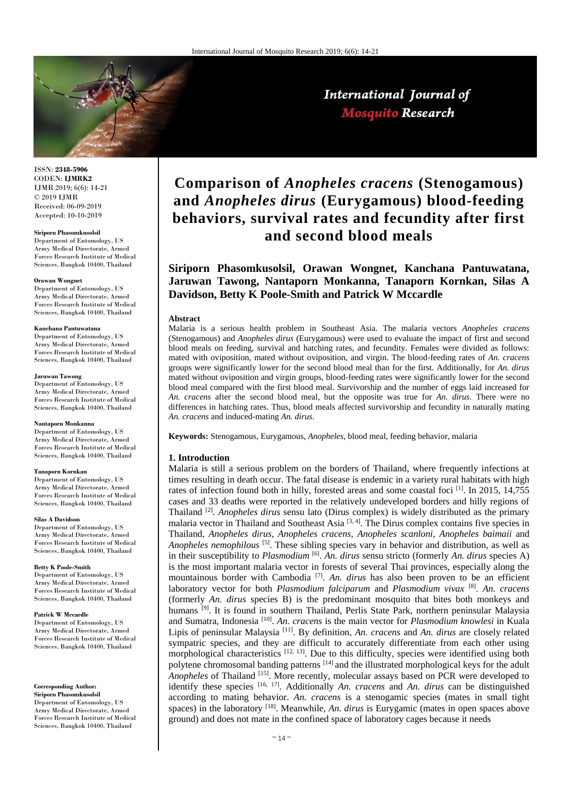

International Journal of **Mosquito Research** 

ISSN: **2348-5906** CODEN: **IJMRK2** IJMR 2019; 6(6): 14-21 © 2019 IJMR Received: 06-09-2019 Accepted: 10-10-2019

#### **Siriporn Phasomkusolsil**

Department of Entomology, US Army Medical Directorate, Armed Forces Research Institute of Medical Sciences, Bangkok 10400, Thailand

#### **Orawan Wongnet**

Department of Entomology, US Army Medical Directorate, Armed Forces Research Institute of Medical Sciences, Bangkok 10400, Thailand

#### **Kanchana Pantuwatana**

Department of Entomology, US Army Medical Directorate, Armed Forces Research Institute of Medical Sciences, Bangkok 10400, Thailand

#### **Jaruwan Tawong**

Department of Entomology, US Army Medical Directorate, Armed Forces Research Institute of Medical Sciences, Bangkok 10400, Thailand

#### **Nantaporn Monkanna**

Department of Entomology, US Army Medical Directorate, Armed Forces Research Institute of Medical Sciences, Bangkok 10400, Thailand

#### **Tanaporn Kornkan**

Department of Entomology, US Army Medical Directorate, Armed Forces Research Institute of Medical Sciences, Bangkok 10400, Thailand

#### **Silas A Davidson**

Department of Entomology, US Army Medical Directorate, Armed Forces Research Institute of Medical Sciences, Bangkok 10400, Thailand

#### **Betty K Poole-Smith**

Department of Entomology, US Army Medical Directorate, Armed Forces Research Institute of Medical Sciences, Bangkok 10400, Thailand

#### **Patrick W Mccardle**

Department of Entomology, US Army Medical Directorate, Armed Forces Research Institute of Medical Sciences, Bangkok 10400, Thailand

**Corresponding Author:**

**Siriporn Phasomkusolsil** Department of Entomology, US Army Medical Directorate, Armed Forces Research Institute of Medical Sciences, Bangkok 10400, Thailand

# **Comparison of** *Anopheles cracens* **(Stenogamous) and** *Anopheles dirus* **(Eurygamous) blood-feeding behaviors, survival rates and fecundity after first and second blood meals**

**Siriporn Phasomkusolsil, Orawan Wongnet, Kanchana Pantuwatana, Jaruwan Tawong, Nantaporn Monkanna, Tanaporn Kornkan, Silas A Davidson, Betty K Poole-Smith and Patrick W Mccardle**

#### **Abstract**

Malaria is a serious health problem in Southeast Asia. The malaria vectors *Anopheles cracens* (Stenogamous) and *Anopheles dirus* (Eurygamous) were used to evaluate the impact of first and second blood meals on feeding, survival and hatching rates, and fecundity. Females were divided as follows: mated with oviposition, mated without oviposition, and virgin. The blood-feeding rates of *An. cracens* groups were significantly lower for the second blood meal than for the first. Additionally, for *An. dirus* mated without oviposition and virgin groups, blood-feeding rates were significantly lower for the second blood meal compared with the first blood meal. Survivorship and the number of eggs laid increased for *An. cracens* after the second blood meal, but the opposite was true for *An. dirus*. There were no differences in hatching rates. Thus, blood meals affected survivorship and fecundity in naturally mating *An. cracens* and induced-mating *An. dirus*.

**Keywords:** Stenogamous, Eurygamous, *Anopheles*, blood meal, feeding behavior, malaria

# **1. Introduction**

Malaria is still a serious problem on the borders of Thailand, where frequently infections at times resulting in death occur. The fatal disease is endemic in a variety rural habitats with high rates of infection found both in hilly, forested areas and some coastal foci [1]. In 2015, 14,755 cases and 33 deaths were reported in the relatively undeveloped borders and hilly regions of Thailand [2] . *Anopheles dirus* sensu lato (Dirus complex) is widely distributed as the primary malaria vector in Thailand and Southeast Asia<sup>[3, 4]</sup>. The Dirus complex contains five species in Thailand, *Anopheles dirus*, *Anopheles cracens*, *Anopheles scanloni*, *Anopheles baimaii* and *Anopheles nemophilous* [5]. These sibling species vary in behavior and distribution, as well as in their susceptibility to *Plasmodium* [6] . *An. dirus* sensu stricto (formerly *An. dirus* species A) is the most important malaria vector in forests of several Thai provinces, especially along the mountainous border with Cambodia<sup>[7]</sup>. An. dirus has also been proven to be an efficient laboratory vector for both *Plasmodium falciparum* and *Plasmodium vivax* [8] . *An. cracens* (formerly *An. dirus* species B) is the predominant mosquito that bites both monkeys and humans <sup>[9]</sup>. It is found in southern Thailand, Perlis State Park, northern peninsular Malaysia and Sumatra, Indonesia [10] . *An. cracens* is the main vector for *Plasmodium knowlesi* in Kuala Lipis of peninsular Malaysia [11]. By definition, *An. cracens* and *An. dirus* are closely related sympatric species, and they are difficult to accurately differentiate from each other using morphological characteristics  $^{[12, 13]}$ . Due to this difficulty, species were identified using both polytene chromosomal banding patterns [14] and the illustrated morphological keys for the adult *Anopheles* of Thailand [15]. More recently, molecular assays based on PCR were developed to identify these species [16, 17]. Additionally *An. cracens* and *An. dirus* can be distinguished according to mating behavior. *An. cracens* is a stenogamic species (mates in small tight spaces) in the laboratory [18] . Meanwhile, *An. dirus* is Eurygamic (mates in open spaces above ground) and does not mate in the confined space of laboratory cages because it needs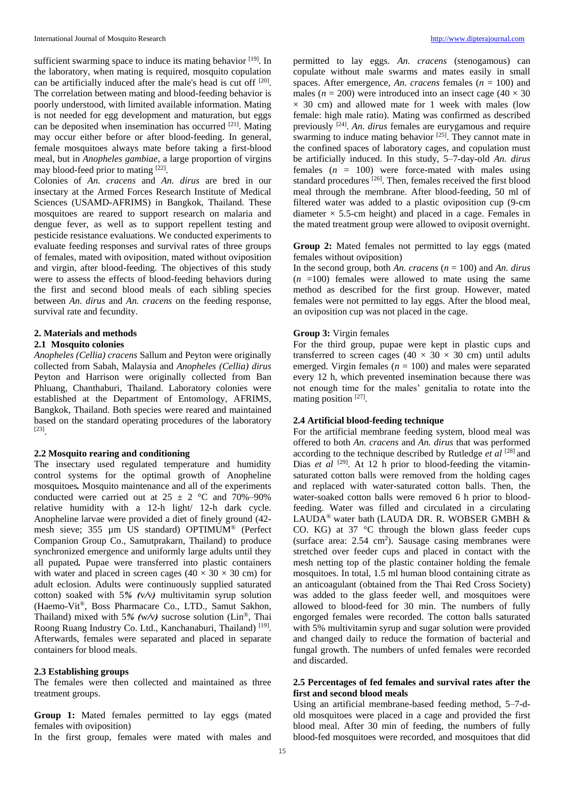sufficient swarming space to induce its mating behavior [19]. In the laboratory, when mating is required, mosquito copulation can be artificially induced after the male's head is cut off <sup>[20]</sup>. The correlation between mating and blood-feeding behavior is poorly understood, with limited available information. Mating is not needed for egg development and maturation, but eggs can be deposited when insemination has occurred [21]. Mating may occur either before or after blood-feeding. In general, female mosquitoes always mate before taking a first-blood meal, but in *Anopheles gambiae*, a large proportion of virgins may blood-feed prior to mating [22].

Colonies of *An. cracens* and *An. dirus* are bred in our insectary at the Armed Forces Research Institute of Medical Sciences (USAMD-AFRIMS) in Bangkok, Thailand. These mosquitoes are reared to support research on malaria and dengue fever, as well as to support repellent testing and pesticide resistance evaluations. We conducted experiments to evaluate feeding responses and survival rates of three groups of females, mated with oviposition, mated without oviposition and virgin, after blood-feeding. The objectives of this study were to assess the effects of blood-feeding behaviors during the first and second blood meals of each sibling species between *An. dirus* and *An. cracens* on the feeding response, survival rate and fecundity.

# **2. Materials and methods**

### **2.1 Mosquito colonies**

*Anopheles (Cellia) cracens* Sallum and Peyton were originally collected from Sabah, Malaysia and *Anopheles (Cellia) dirus*  Peyton and Harrison were originally collected from Ban Phluang, Chanthaburi, Thailand. Laboratory colonies were established at the Department of Entomology, AFRIMS, Bangkok, Thailand. Both species were reared and maintained based on the standard operating procedures of the laboratory [23] .

## **2.2 Mosquito rearing and conditioning**

The insectary used regulated temperature and humidity control systems for the optimal growth of Anopheline mosquitoes*.* Mosquito maintenance and all of the experiments conducted were carried out at  $25 \pm 2$  °C and 70%–90% relative humidity with a 12-h light/ 12-h dark cycle. Anopheline larvae were provided a diet of finely ground (42 mesh sieve; 355 µm US standard) OPTIMUM® (Perfect Companion Group Co., Samutprakarn, Thailand) to produce synchronized emergence and uniformly large adults until they all pupated*.* Pupae were transferred into plastic containers with water and placed in screen cages ( $40 \times 30 \times 30$  cm) for adult eclosion. Adults were continuously supplied saturated cotton) soaked with 5*% (*v*/*v*)* multivitamin syrup solution (Haemo-Vit®, Boss Pharmacare Co., LTD., Samut Sakhon, Thailand) mixed with 5*% (*w*/*v*)* sucrose solution (Lin®, Thai Roong Ruang Industry Co. Ltd., Kanchanaburi, Thailand)<sup>[19]</sup>. Afterwards, females were separated and placed in separate containers for blood meals.

### **2.3 Establishing groups**

The females were then collected and maintained as three treatment groups.

**Group 1:** Mated females permitted to lay eggs (mated females with oviposition)

In the first group, females were mated with males and

permitted to lay eggs. *An. cracens* (stenogamous) can copulate without male swarms and mates easily in small spaces. After emergence, *An. cracens* females (*n* = 100) and males ( $n = 200$ ) were introduced into an insect cage ( $40 \times 30$ )  $\times$  30 cm) and allowed mate for 1 week with males (low female: high male ratio). Mating was confirmed as described previously [24] . *An. dirus* females are eurygamous and require swarming to induce mating behavior <sup>[25]</sup>. They cannot mate in the confined spaces of laboratory cages, and copulation must be artificially induced. In this study, 5–7-day-old *An. dirus* females  $(n = 100)$  were force-mated with males using standard procedures <sup>[26]</sup>. Then, females received the first blood meal through the membrane. After blood-feeding, 50 ml of filtered water was added to a plastic oviposition cup (9-cm diameter  $\times$  5.5-cm height) and placed in a cage. Females in the mated treatment group were allowed to oviposit overnight.

# **Group 2:** Mated females not permitted to lay eggs (mated females without oviposition)

In the second group, both *An. cracens* (*n* = 100) and *An. dirus*  $(n = 100)$  females were allowed to mate using the same method as described for the first group. However, mated females were not permitted to lay eggs. After the blood meal, an oviposition cup was not placed in the cage.

# **Group 3:** Virgin females

For the third group, pupae were kept in plastic cups and transferred to screen cages (40  $\times$  30  $\times$  30 cm) until adults emerged. Virgin females ( $n = 100$ ) and males were separated every 12 h, which prevented insemination because there was not enough time for the males' genitalia to rotate into the mating position [27].

# **2.4 Artificial blood-feeding technique**

For the artificial membrane feeding system, blood meal was offered to both *An. cracens* and *An. dirus* that was performed according to the technique described by Rutledge *et al* [28] and Dias *et al* <sup>[29]</sup>. At 12 h prior to blood-feeding the vitaminsaturated cotton balls were removed from the holding cages and replaced with water-saturated cotton balls. Then, the water-soaked cotton balls were removed 6 h prior to bloodfeeding. Water was filled and circulated in a circulating LAUDA® water bath (LAUDA DR. R. WOBSER GMBH & CO. KG) at 37 °C through the blown glass feeder cups (surface area:  $2.54 \text{ cm}^2$ ). Sausage casing membranes were stretched over feeder cups and placed in contact with the mesh netting top of the plastic container holding the female mosquitoes. In total, 1.5 ml human blood containing citrate as an anticoagulant (obtained from the Thai Red Cross Society) was added to the glass feeder well, and mosquitoes were allowed to blood-feed for 30 min. The numbers of fully engorged females were recorded. The cotton balls saturated with 5% multivitamin syrup and sugar solution were provided and changed daily to reduce the formation of bacterial and fungal growth. The numbers of unfed females were recorded and discarded.

# **2.5 Percentages of fed females and survival rates after the first and second blood meals**

Using an artificial membrane-based feeding method, 5–7-dold mosquitoes were placed in a cage and provided the first blood meal. After 30 min of feeding, the numbers of fully blood-fed mosquitoes were recorded, and mosquitoes that did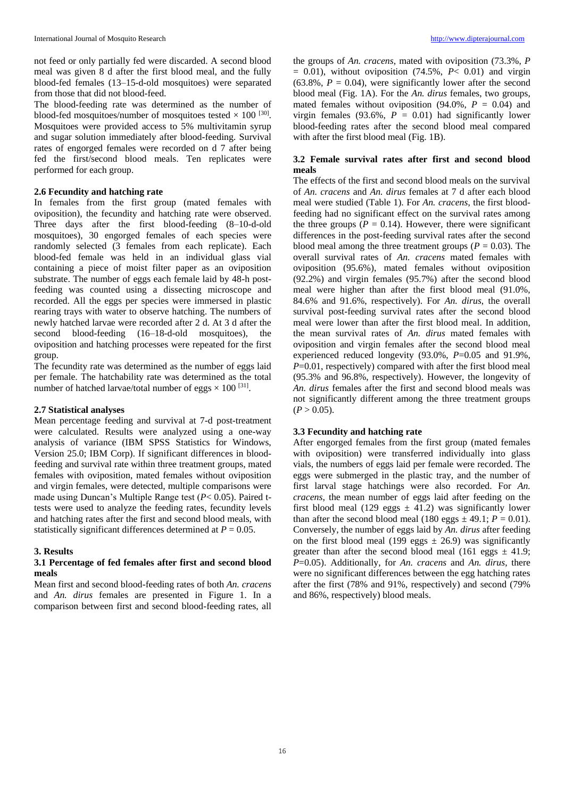not feed or only partially fed were discarded. A second blood meal was given 8 d after the first blood meal, and the fully blood-fed females (13–15-d-old mosquitoes) were separated from those that did not blood-feed.

The blood-feeding rate was determined as the number of blood-fed mosquitoes/number of mosquitoes tested  $\times$  100  $^{[30]}$ . Mosquitoes were provided access to 5% multivitamin syrup and sugar solution immediately after blood-feeding. Survival rates of engorged females were recorded on d 7 after being fed the first/second blood meals. Ten replicates were performed for each group.

# **2.6 Fecundity and hatching rate**

In females from the first group (mated females with oviposition), the fecundity and hatching rate were observed. Three days after the first blood-feeding (8–10-d-old mosquitoes), 30 engorged females of each species were randomly selected (3 females from each replicate). Each blood-fed female was held in an individual glass vial containing a piece of moist filter paper as an oviposition substrate. The number of eggs each female laid by 48-h postfeeding was counted using a dissecting microscope and recorded. All the eggs per species were immersed in plastic rearing trays with water to observe hatching. The numbers of newly hatched larvae were recorded after 2 d. At 3 d after the second blood-feeding (16–18-d-old mosquitoes), the oviposition and hatching processes were repeated for the first group.

The fecundity rate was determined as the number of eggs laid per female. The hatchability rate was determined as the total number of hatched larvae/total number of eggs  $\times$  100 <sup>[31]</sup>.

## **2.7 Statistical analyses**

Mean percentage feeding and survival at 7-d post-treatment were calculated. Results were analyzed using a one-way analysis of variance (IBM SPSS Statistics for Windows, Version 25.0; IBM Corp). If significant differences in bloodfeeding and survival rate within three treatment groups, mated females with oviposition, mated females without oviposition and virgin females, were detected, multiple comparisons were made using Duncan's Multiple Range test (*P*< 0.05). Paired ttests were used to analyze the feeding rates, fecundity levels and hatching rates after the first and second blood meals, with statistically significant differences determined at *P* = 0.05.

### **3. Results**

## **3.1 Percentage of fed females after first and second blood meals**

Mean first and second blood-feeding rates of both *An. cracens* and *An. dirus* females are presented in Figure 1. In a comparison between first and second blood-feeding rates, all

the groups of *An. cracens*, mated with oviposition (73.3%, *P*   $= 0.01$ ), without oviposition (74.5%,  $P < 0.01$ ) and virgin  $(63.8\%, P = 0.04)$ , were significantly lower after the second blood meal (Fig. 1A). For the *An. dirus* females, two groups, mated females without oviposition  $(94.0\% , P = 0.04)$  and virgin females (93.6%,  $P = 0.01$ ) had significantly lower blood-feeding rates after the second blood meal compared with after the first blood meal (Fig. 1B).

# **3.2 Female survival rates after first and second blood meals**

The effects of the first and second blood meals on the survival of *An. cracens* and *An. dirus* females at 7 d after each blood meal were studied (Table 1). For *An. cracens*, the first bloodfeeding had no significant effect on the survival rates among the three groups  $(P = 0.14)$ . However, there were significant differences in the post-feeding survival rates after the second blood meal among the three treatment groups ( $P = 0.03$ ). The overall survival rates of *An. cracens* mated females with oviposition (95.6%), mated females without oviposition (92.2%) and virgin females (95.7%) after the second blood meal were higher than after the first blood meal (91.0%, 84.6% and 91.6%, respectively). For *An. dirus*, the overall survival post-feeding survival rates after the second blood meal were lower than after the first blood meal. In addition, the mean survival rates of *An. dirus* mated females with oviposition and virgin females after the second blood meal experienced reduced longevity (93.0%, *P*=0.05 and 91.9%, *P*=0.01, respectively) compared with after the first blood meal (95.3% and 96.8%, respectively). However, the longevity of *An. dirus* females after the first and second blood meals was not significantly different among the three treatment groups  $(P > 0.05)$ .

# **3.3 Fecundity and hatching rate**

After engorged females from the first group (mated females with oviposition) were transferred individually into glass vials, the numbers of eggs laid per female were recorded. The eggs were submerged in the plastic tray, and the number of first larval stage hatchings were also recorded. For *An. cracens*, the mean number of eggs laid after feeding on the first blood meal (129 eggs  $\pm$  41.2) was significantly lower than after the second blood meal (180 eggs  $\pm$  49.1;  $P = 0.01$ ). Conversely, the number of eggs laid by *An. dirus* after feeding on the first blood meal (199 eggs  $\pm$  26.9) was significantly greater than after the second blood meal (161 eggs  $\pm$  41.9; *P*=0.05). Additionally, for *An. cracens* and *An. dirus*, there were no significant differences between the egg hatching rates after the first (78% and 91%, respectively) and second (79% and 86%, respectively) blood meals.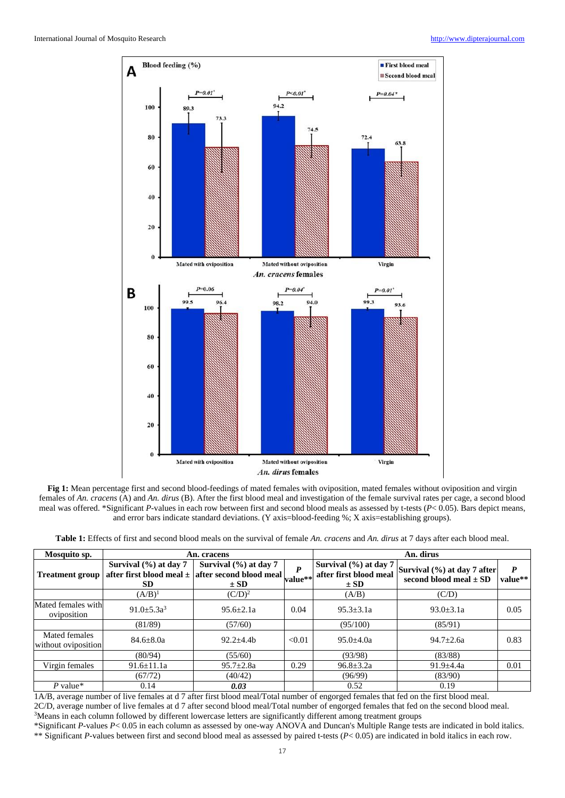



| <b>Table 1:</b> Effects of first and second blood meals on the survival of female An. cracens and An. dirus at 7 days after each blood meal. |  |
|----------------------------------------------------------------------------------------------------------------------------------------------|--|
|----------------------------------------------------------------------------------------------------------------------------------------------|--|

| Mosquito sp.                         |                                        | An. cracens                                                                                   | An. dirus |                                                                 |                                                           |              |
|--------------------------------------|----------------------------------------|-----------------------------------------------------------------------------------------------|-----------|-----------------------------------------------------------------|-----------------------------------------------------------|--------------|
| <b>Treatment group</b>               | Survival $(\% )$ at day 7<br><b>SD</b> | Survival $(\% )$ at day 7<br>after first blood meal $\pm$ after second blood meal<br>$\pm$ SD | value**   | Survival $(\% )$ at day 7<br>after first blood meal<br>$\pm$ SD | Survival (%) at day 7 after<br>second blood meal $\pm$ SD | P<br>value** |
|                                      | $(A/B)^1$                              | $(C/D)^2$                                                                                     |           | (A/B)                                                           | (C/D)                                                     |              |
| Mated females with<br>oviposition    | $91.0 + 5.3a^3$                        | $95.6 + 2.1a$                                                                                 | 0.04      | $95.3 \pm 3.1a$                                                 | $93.0 \pm 3.1a$                                           | 0.05         |
|                                      | (81/89)                                | (57/60)                                                                                       |           | (95/100)                                                        | (85/91)                                                   |              |
| Mated females<br>without oviposition | $84.6 \pm 8.0a$                        | $92.2 + 4.4h$                                                                                 | < 0.01    | $95.0 \pm 4.0a$                                                 | $94.7 \pm 2.6a$                                           | 0.83         |
|                                      | (80/94)                                | (55/60)                                                                                       |           | (93/98)                                                         | (83/88)                                                   |              |
| Virgin females                       | $91.6 \pm 11.1a$                       | $95.7 \pm 2.8a$                                                                               | 0.29      | $96.8 \pm 3.2a$                                                 | $91.9 \pm 4.4a$                                           | 0.01         |
|                                      | (67/72)                                | (40/42)                                                                                       |           | (96/99)                                                         | (83/90)                                                   |              |
| $P$ value*                           | 0.14                                   | 0.03                                                                                          |           | 0.52                                                            | 0.19                                                      |              |

1A/B, average number of live females at d 7 after first blood meal/Total number of engorged females that fed on the first blood meal. 2C/D, average number of live females at d 7 after second blood meal/Total number of engorged females that fed on the second blood meal. <sup>3</sup>Means in each column followed by different lowercase letters are significantly different among treatment groups

\*Significant *P*-values *P*< 0.05 in each column as assessed by one-way ANOVA and Duncan's Multiple Range tests are indicated in bold italics. \*\* Significant *P*-values between first and second blood meal as assessed by paired t-tests (*P*< 0.05) are indicated in bold italics in each row.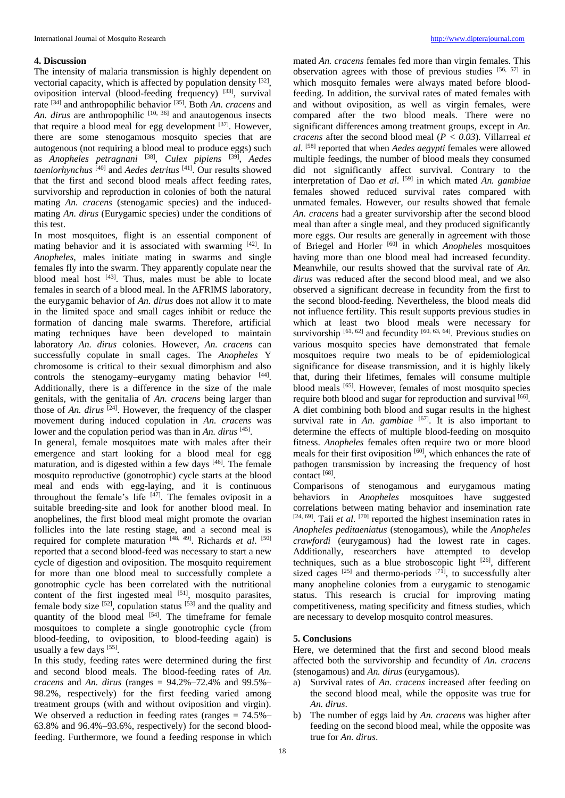## **4. Discussion**

The intensity of malaria transmission is highly dependent on vectorial capacity, which is affected by population density <sup>[32]</sup>, oviposition interval (blood-feeding frequency) [33], survival rate [34] and anthropophilic behavior [35]. Both *An. cracens* and *An. dirus* are anthropophilic <sup>[10, 36]</sup> and anautogenous insects that require a blood meal for egg development  $^{[37]}$ . However, there are some stenogamous mosquito species that are autogenous (not requiring a blood meal to produce eggs) such as *Anopheles petragnani* [38] , *Culex pipiens* [39] , *Aedes taeniorhynchus* [40] and *Aedes detritus* [41]. Our results showed that the first and second blood meals affect feeding rates, survivorship and reproduction in colonies of both the natural mating *An. cracens* (stenogamic species) and the inducedmating *An. dirus* (Eurygamic species) under the conditions of this test.

In most mosquitoes, flight is an essential component of mating behavior and it is associated with swarming [42]. In *Anopheles*, males initiate mating in swarms and single females fly into the swarm. They apparently copulate near the blood meal host  $[43]$ . Thus, males must be able to locate females in search of a blood meal. In the AFRIMS laboratory, the eurygamic behavior of *An. dirus* does not allow it to mate in the limited space and small cages inhibit or reduce the formation of dancing male swarms. Therefore, artificial mating techniques have been developed to maintain laboratory *An. dirus* colonies. However, *An. cracens* can successfully copulate in small cages. The *Anopheles* Y chromosome is critical to their sexual dimorphism and also controls the stenogamy–eurygamy mating behavior [44]. Additionally, there is a difference in the size of the male genitals, with the genitalia of *An. cracens* being larger than those of *An. dirus*  $^{[24]}$ . However, the frequency of the clasper movement during induced copulation in *An. cracens* was lower and the copulation period was than in *An. dirus* [45].

In general, female mosquitoes mate with males after their emergence and start looking for a blood meal for egg maturation, and is digested within a few days  $[46]$ . The female mosquito reproductive (gonotrophic) cycle starts at the blood meal and ends with egg-laying, and it is continuous throughout the female's life  $[47]$ . The females oviposit in a suitable breeding-site and look for another blood meal. In anophelines, the first blood meal might promote the ovarian follicles into the late resting stage, and a second meal is required for complete maturation [48, 49]. Richards *et al.* [50] reported that a second blood-feed was necessary to start a new cycle of digestion and oviposition. The mosquito requirement for more than one blood meal to successfully complete a gonotrophic cycle has been correlated with the nutritional content of the first ingested meal  $[51]$ , mosquito parasites, female body size  $[52]$ , copulation status  $[53]$  and the quality and quantity of the blood meal  $[54]$ . The timeframe for female mosquitoes to complete a single gonotrophic cycle (from blood-feeding, to oviposition, to blood-feeding again) is usually a few days [55].

In this study, feeding rates were determined during the first and second blood meals. The blood-feeding rates of *An. cracens* and *An. dirus* (ranges = 94.2%–72.4% and 99.5%– 98.2%, respectively) for the first feeding varied among treatment groups (with and without oviposition and virgin). We observed a reduction in feeding rates (ranges = 74.5%– 63.8% and 96.4%–93.6%, respectively) for the second bloodfeeding. Furthermore, we found a feeding response in which

mated *An. cracens* females fed more than virgin females. This observation agrees with those of previous studies [56, 57] in which mosquito females were always mated before bloodfeeding. In addition, the survival rates of mated females with and without oviposition, as well as virgin females, were compared after the two blood meals. There were no significant differences among treatment groups, except in *An. cracens* after the second blood meal ( $P < 0.03$ ). Villarreal *et al*. [58] reported that when *Aedes aegypti* females were allowed multiple feedings, the number of blood meals they consumed did not significantly affect survival. Contrary to the interpretation of Dao *et al*. [59] in which mated *An. gambiae* females showed reduced survival rates compared with unmated females. However, our results showed that female *An. cracens* had a greater survivorship after the second blood meal than after a single meal, and they produced significantly more eggs. Our results are generally in agreement with those of Briegel and Horler [60] in which *Anopheles* mosquitoes having more than one blood meal had increased fecundity. Meanwhile, our results showed that the survival rate of *An. dirus* was reduced after the second blood meal, and we also observed a significant decrease in fecundity from the first to the second blood-feeding. Nevertheless, the blood meals did not influence fertility. This result supports previous studies in which at least two blood meals were necessary for survivorship <sup>[61, 62]</sup> and fecundity <sup>[60, 63, 64]</sup>. Previous studies on various mosquito species have demonstrated that female mosquitoes require two meals to be of epidemiological significance for disease transmission, and it is highly likely that, during their lifetimes, females will consume multiple blood meals [65]. However, females of most mosquito species require both blood and sugar for reproduction and survival [66]. A diet combining both blood and sugar results in the highest survival rate in *An. gambiae* <sup>[67]</sup>. It is also important to determine the effects of multiple blood-feeding on mosquito fitness. *Anopheles* females often require two or more blood meals for their first oviposition [60], which enhances the rate of pathogen transmission by increasing the frequency of host contact [68] .

Comparisons of stenogamous and eurygamous mating behaviors in *Anopheles* mosquitoes have suggested correlations between mating behavior and insemination rate  $[24, 69]$ . Taii *et al.*  $[70]$  reported the highest insemination rates in *Anopheles peditaeniatus* (stenogamous), while the *Anopheles crawfordi* (eurygamous) had the lowest rate in cages. Additionally, researchers have attempted to develop techniques, such as a blue stroboscopic light [26], different sized cages  $[25]$  and thermo-periods  $[71]$ , to successfully alter many anopheline colonies from a eurygamic to stenogamic status. This research is crucial for improving mating competitiveness, mating specificity and fitness studies, which are necessary to develop mosquito control measures.

# **5. Conclusions**

Here, we determined that the first and second blood meals affected both the survivorship and fecundity of *An. cracens* (stenogamous) and *An. dirus* (eurygamous).

- a) Survival rates of *An. cracens* increased after feeding on the second blood meal, while the opposite was true for *An. dirus*.
- b) The number of eggs laid by *An. cracens* was higher after feeding on the second blood meal, while the opposite was true for *An. dirus*.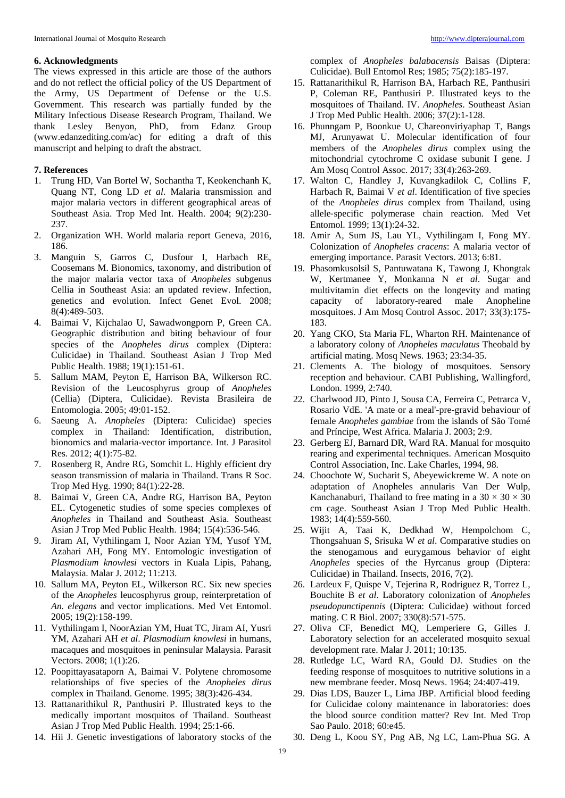### **6. Acknowledgments**

The views expressed in this article are those of the authors and do not reflect the official policy of the US Department of the Army, US Department of Defense or the U.S. Government. This research was partially funded by the Military Infectious Disease Research Program, Thailand. We thank Lesley Benyon, PhD, from Edanz Group (www.edanzediting.com/ac) for editing a draft of this manuscript and helping to draft the abstract.

# **7. References**

- 1. Trung HD, Van Bortel W, Sochantha T, Keokenchanh K, Quang NT, Cong LD *et al*. Malaria transmission and major malaria vectors in different geographical areas of Southeast Asia. Trop Med Int. Health. 2004; 9(2):230- 237.
- 2. Organization WH. World malaria report Geneva, 2016, 186.
- 3. Manguin S, Garros C, Dusfour I, Harbach RE, Coosemans M. Bionomics, taxonomy, and distribution of the major malaria vector taxa of *Anopheles* subgenus Cellia in Southeast Asia: an updated review. Infection, genetics and evolution. Infect Genet Evol. 2008; 8(4):489-503.
- 4. Baimai V, Kijchalao U, Sawadwongporn P, Green CA. Geographic distribution and biting behaviour of four species of the *Anopheles dirus* complex (Diptera: Culicidae) in Thailand. Southeast Asian J Trop Med Public Health. 1988; 19(1):151-61.
- 5. Sallum MAM, Peyton E, Harrison BA, Wilkerson RC. Revision of the Leucosphyrus group of *Anopheles* (Cellia) (Diptera, Culicidae). Revista Brasileira de Entomologia. 2005; 49:01-152.
- 6. Saeung A. *Anopheles* (Diptera: Culicidae) species complex in Thailand: Identification, distribution, bionomics and malaria-vector importance. Int. J Parasitol Res. 2012; 4(1):75-82.
- 7. Rosenberg R, Andre RG, Somchit L. Highly efficient dry season transmission of malaria in Thailand. Trans R Soc. Trop Med Hyg. 1990; 84(1):22-28.
- 8. Baimai V, Green CA, Andre RG, Harrison BA, Peyton EL. Cytogenetic studies of some species complexes of *Anopheles* in Thailand and Southeast Asia. Southeast Asian J Trop Med Public Health. 1984; 15(4):536-546.
- 9. Jiram AI, Vythilingam I, Noor Azian YM, Yusof YM, Azahari AH, Fong MY. Entomologic investigation of *Plasmodium knowlesi* vectors in Kuala Lipis, Pahang, Malaysia. Malar J. 2012; 11:213.
- 10. Sallum MA, Peyton EL, Wilkerson RC. Six new species of the *Anopheles* leucosphyrus group, reinterpretation of *An. elegans* and vector implications. Med Vet Entomol. 2005; 19(2):158-199.
- 11. Vythilingam I, NoorAzian YM, Huat TC, Jiram AI, Yusri YM, Azahari AH *et al*. *Plasmodium knowlesi* in humans, macaques and mosquitoes in peninsular Malaysia. Parasit Vectors. 2008; 1(1):26.
- 12. Poopittayasataporn A, Baimai V. Polytene chromosome relationships of five species of the *Anopheles dirus* complex in Thailand. Genome. 1995; 38(3):426-434.
- 13. Rattanarithikul R, Panthusiri P. Illustrated keys to the medically important mosquitos of Thailand. Southeast Asian J Trop Med Public Health. 1994; 25:1-66.
- 14. Hii J. Genetic investigations of laboratory stocks of the

complex of *Anopheles balabacensis* Baisas (Diptera: Culicidae). Bull Entomol Res; 1985; 75(2):185-197.

- 15. Rattanarithikul R, Harrison BA, Harbach RE, Panthusiri P, Coleman RE, Panthusiri P. Illustrated keys to the mosquitoes of Thailand. IV. *Anopheles*. Southeast Asian J Trop Med Public Health. 2006; 37(2):1-128.
- 16. Phunngam P, Boonkue U, Chareonviriyaphap T, Bangs MJ, Arunyawat U. Molecular identification of four members of the *Anopheles dirus* complex using the mitochondrial cytochrome C oxidase subunit I gene. J Am Mosq Control Assoc. 2017; 33(4):263-269.
- 17. Walton C, Handley J, Kuvangkadilok C, Collins F, Harbach R, Baimai V *et al*. Identification of five species of the *Anopheles dirus* complex from Thailand, using allele‐specific polymerase chain reaction. Med Vet Entomol. 1999; 13(1):24-32.
- 18. Amir A, Sum JS, Lau YL, Vythilingam I, Fong MY. Colonization of *Anopheles cracens*: A malaria vector of emerging importance. Parasit Vectors. 2013; 6:81.
- 19. Phasomkusolsil S, Pantuwatana K, Tawong J, Khongtak W, Kertmanee Y, Monkanna N *et al*. Sugar and multivitamin diet effects on the longevity and mating capacity of laboratory-reared male Anopheline mosquitoes. J Am Mosq Control Assoc. 2017; 33(3):175- 183.
- 20. Yang CKO, Sta Maria FL, Wharton RH. Maintenance of a laboratory colony of *Anopheles maculatus* Theobald by artificial mating. Mosq News. 1963; 23:34-35.
- 21. Clements A. The biology of mosquitoes. Sensory reception and behaviour. CABI Publishing, Wallingford, London. 1999, 2:740.
- 22. Charlwood JD, Pinto J, Sousa CA, Ferreira C, Petrarca V, Rosario VdE. 'A mate or a meal'-pre-gravid behaviour of female *Anopheles gambiae* from the islands of São Tomé and Príncipe, West Africa. Malaria J. 2003; 2:9.
- 23. Gerberg EJ, Barnard DR, Ward RA. Manual for mosquito rearing and experimental techniques. American Mosquito Control Association, Inc. Lake Charles, 1994, 98.
- 24. Choochote W, Sucharit S, Abeyewickreme W. A note on adaptation of Anopheles annularis Van Der Wulp, Kanchanaburi, Thailand to free mating in a  $30 \times 30 \times 30$ cm cage. Southeast Asian J Trop Med Public Health. 1983; 14(4):559-560.
- 25. Wijit A, Taai K, Dedkhad W, Hempolchom C, Thongsahuan S, Srisuka W *et al*. Comparative studies on the stenogamous and eurygamous behavior of eight *Anopheles* species of the Hyrcanus group (Diptera: Culicidae) in Thailand. Insects, 2016, 7(2).
- 26. Lardeux F, Quispe V, Tejerina R, Rodriguez R, Torrez L, Bouchite B *et al*. Laboratory colonization of *Anopheles pseudopunctipennis* (Diptera: Culicidae) without forced mating. C R Biol. 2007; 330(8):571-575.
- 27. Oliva CF, Benedict MQ, Lemperiere G, Gilles J. Laboratory selection for an accelerated mosquito sexual development rate. Malar J. 2011; 10:135.
- 28. Rutledge LC, Ward RA, Gould DJ. Studies on the feeding response of mosquitoes to nutritive solutions in a new membrane feeder. Mosq News. 1964; 24:407-419.
- 29. Dias LDS, Bauzer L, Lima JBP. Artificial blood feeding for Culicidae colony maintenance in laboratories: does the blood source condition matter? Rev Int. Med Trop Sao Paulo. 2018; 60:e45.
- 30. Deng L, Koou SY, Png AB, Ng LC, Lam-Phua SG. A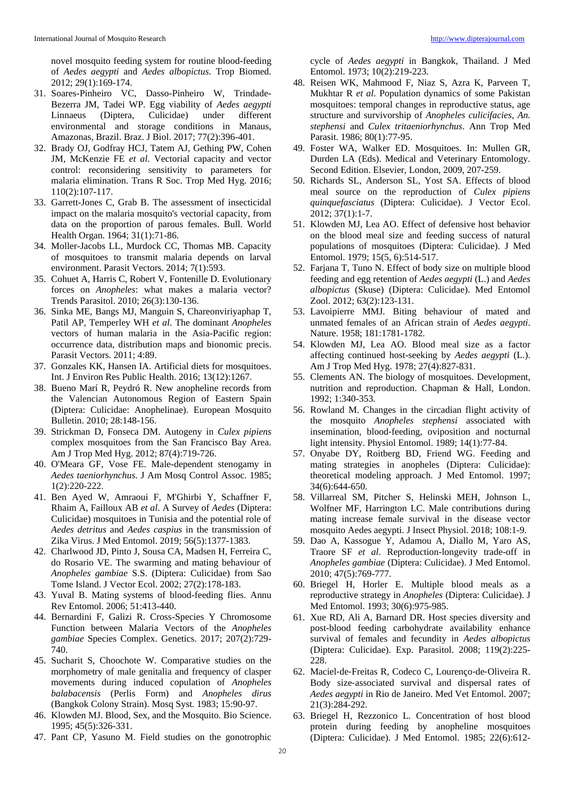novel mosquito feeding system for routine blood-feeding of *Aedes aegypti* and *Aedes albopictus*. Trop Biomed. 2012; 29(1):169-174.

- 31. Soares-Pinheiro VC, Dasso-Pinheiro W, Trindade-Bezerra JM, Tadei WP. Egg viability of *Aedes aegypti* Linnaeus (Diptera, Culicidae) under different environmental and storage conditions in Manaus, Amazonas, Brazil. Braz. J Biol. 2017; 77(2):396-401.
- 32. Brady OJ, Godfray HCJ, Tatem AJ, Gething PW, Cohen JM, McKenzie FE *et al*. Vectorial capacity and vector control: reconsidering sensitivity to parameters for malaria elimination. Trans R Soc. Trop Med Hyg. 2016; 110(2):107-117.
- 33. Garrett-Jones C, Grab B. The assessment of insecticidal impact on the malaria mosquito's vectorial capacity, from data on the proportion of parous females. Bull. World Health Organ. 1964; 31(1):71-86.
- 34. Moller-Jacobs LL, Murdock CC, Thomas MB. Capacity of mosquitoes to transmit malaria depends on larval environment. Parasit Vectors. 2014; 7(1):593.
- 35. Cohuet A, Harris C, Robert V, Fontenille D. Evolutionary forces on *Anopheles*: what makes a malaria vector? Trends Parasitol. 2010; 26(3):130-136.
- 36. Sinka ME, Bangs MJ, Manguin S, Chareonviriyaphap T, Patil AP, Temperley WH *et al*. The dominant *Anopheles*  vectors of human malaria in the Asia-Pacific region: occurrence data, distribution maps and bionomic precis. Parasit Vectors. 2011; 4:89.
- 37. Gonzales KK, Hansen IA. Artificial diets for mosquitoes. Int. J Environ Res Public Health. 2016; 13(12):1267.
- 38. Bueno Marí R, Peydró R. New anopheline records from the Valencian Autonomous Region of Eastern Spain (Diptera: Culicidae: Anophelinae). European Mosquito Bulletin. 2010; 28:148-156.
- 39. Strickman D, Fonseca DM. Autogeny in *Culex pipiens* complex mosquitoes from the San Francisco Bay Area. Am J Trop Med Hyg. 2012; 87(4):719-726.
- 40. O'Meara GF, Vose FE. Male-dependent stenogamy in *Aedes taeniorhynchus*. J Am Mosq Control Assoc. 1985; 1(2):220-222.
- 41. Ben Ayed W, Amraoui F, M'Ghirbi Y, Schaffner F, Rhaim A, Failloux AB *et al*. A Survey of *Aedes* (Diptera: Culicidae) mosquitoes in Tunisia and the potential role of *Aedes detritus* and *Aedes caspius* in the transmission of Zika Virus. J Med Entomol. 2019; 56(5):1377-1383.
- 42. Charlwood JD, Pinto J, Sousa CA, Madsen H, Ferreira C, do Rosario VE. The swarming and mating behaviour of *Anopheles gambiae* S.S. (Diptera: Culicidae) from Sao Tome Island. J Vector Ecol. 2002; 27(2):178-183.
- 43. Yuval B. Mating systems of blood-feeding flies. Annu Rev Entomol. 2006; 51:413-440.
- 44. Bernardini F, Galizi R. Cross-Species Y Chromosome Function between Malaria Vectors of the *Anopheles gambiae* Species Complex. Genetics. 2017; 207(2):729- 740.
- 45. Sucharit S, Choochote W. Comparative studies on the morphometry of male genitalia and frequency of clasper movements during induced copulation of *Anopheles balabacensis* (Perlis Form) and *Anopheles dirus*  (Bangkok Colony Strain). Mosq Syst. 1983; 15:90-97.
- 46. Klowden MJ. Blood, Sex, and the Mosquito. Bio Science. 1995; 45(5):326-331.
- 47. Pant CP, Yasuno M. Field studies on the gonotrophic

cycle of *Aedes aegypti* in Bangkok, Thailand. J Med Entomol. 1973; 10(2):219-223.

- 48. Reisen WK, Mahmood F, Niaz S, Azra K, Parveen T, Mukhtar R *et al*. Population dynamics of some Pakistan mosquitoes: temporal changes in reproductive status, age structure and survivorship of *Anopheles culicifacies*, *An. stephensi* and *Culex tritaeniorhynchus*. Ann Trop Med Parasit. 1986; 80(1):77-95.
- 49. Foster WA, Walker ED. Mosquitoes. In: Mullen GR, Durden LA (Eds). Medical and Veterinary Entomology. Second Edition. Elsevier, London, 2009, 207-259.
- 50. Richards SL, Anderson SL, Yost SA. Effects of blood meal source on the reproduction of *Culex pipiens quinquefasciatus* (Diptera: Culicidae). J Vector Ecol. 2012; 37(1):1-7.
- 51. Klowden MJ, Lea AO. Effect of defensive host behavior on the blood meal size and feeding success of natural populations of mosquitoes (Diptera: Culicidae). J Med Entomol. 1979; 15(5, 6):514-517.
- 52. Farjana T, Tuno N. Effect of body size on multiple blood feeding and egg retention of *Aedes aegypti* (L.) and *Aedes albopictus* (Skuse) (Diptera: Culicidae). Med Entomol Zool. 2012; 63(2):123-131.
- 53. Lavoipierre MMJ. Biting behaviour of mated and unmated females of an African strain of *Aedes aegypti*. Nature. 1958; 181:1781-1782.
- 54. Klowden MJ, Lea AO. Blood meal size as a factor affecting continued host-seeking by *Aedes aegypti* (L.). Am J Trop Med Hyg. 1978; 27(4):827-831.
- 55. Clements AN. The biology of mosquitoes. Development, nutrition and reproduction. Chapman & Hall, London. 1992; 1:340-353.
- 56. Rowland M. Changes in the circadian flight activity of the mosquito *Anopheles stephensi* associated with insemination, blood‐feeding, oviposition and nocturnal light intensity. Physiol Entomol. 1989; 14(1):77-84.
- 57. Onyabe DY, Roitberg BD, Friend WG. Feeding and mating strategies in anopheles (Diptera: Culicidae): theoretical modeling approach. J Med Entomol. 1997; 34(6):644-650.
- 58. Villarreal SM, Pitcher S, Helinski MEH, Johnson L, Wolfner MF, Harrington LC. Male contributions during mating increase female survival in the disease vector mosquito Aedes aegypti. J Insect Physiol. 2018; 108:1-9.
- 59. Dao A, Kassogue Y, Adamou A, Diallo M, Yaro AS, Traore SF *et al*. Reproduction-longevity trade-off in *Anopheles gambiae* (Diptera: Culicidae). J Med Entomol. 2010; 47(5):769-777.
- 60. Briegel H, Horler E. Multiple blood meals as a reproductive strategy in *Anopheles* (Diptera: Culicidae). J Med Entomol. 1993; 30(6):975-985.
- 61. Xue RD, Ali A, Barnard DR. Host species diversity and post-blood feeding carbohydrate availability enhance survival of females and fecundity in *Aedes albopictus* (Diptera: Culicidae). Exp. Parasitol. 2008; 119(2):225- 228.
- 62. Maciel‐de‐Freitas R, Codeco C, Lourenço‐de‐Oliveira R. Body size‐associated survival and dispersal rates of *Aedes aegypti* in Rio de Janeiro. Med Vet Entomol. 2007; 21(3):284-292.
- 63. Briegel H, Rezzonico L. Concentration of host blood protein during feeding by anopheline mosquitoes (Diptera: Culicidae). J Med Entomol. 1985; 22(6):612-